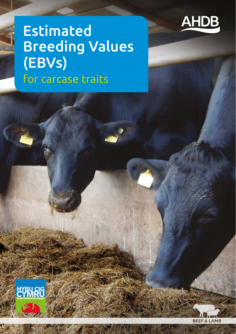

# Estimated Breeding Values (EBVs) for carcase traits

**EYRU CIG** 

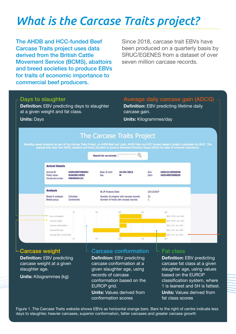# *What is the Carcase Traits project?*

The AHDB and HCC-funded Beef Carcase Traits project uses data derived from the British Cattle Movement Service (BCMS), abattoirs and breed societies to produce EBVs for traits of economic importance to commercial beef producers.

Since 2018, carcase trait EBVs have been produced on a quarterly basis by SRUC/EGENES from a dataset of over seven million carcase records.

#### Days to slaughter

**Definition:** EBV predicting days to slaughter at a given weight and fat class.

#### Average daily carcase gain (ADCG)

**Definition:** EBV predicting lifetime daily carcase gain.

#### **Units:** Days

**Units:** Kilogrammes/day



#### Carcase weight

**Definition:** EBV predicting carcase weight at a given slaughter age.

**Units:** Kilogrammes (kg)

#### Carcase conformation

**Definition:** EBV predicting carcase conformation at a given slaughter age, using records of carcase conformation based on the EUROP arid. **Units:** Values derived from conformation scores

#### Fat class

**Definition:** EBV predicting carcase fat class at a given slaughter age, using values based on the EUROP classification system, where 1 is leanest and 5H is fattest. **Units:** Values derived from fat class scores

Figure 1. The Carcase Traits website shows EBVs as horizontal orange bars. Bars to the right of centre indicate less days to slaughter, heavier carcases, superior conformation, fatter carcases and greater carcase growth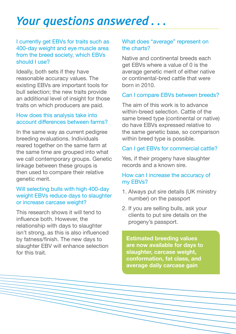## *Your questions answered . . .*

### I currently get EBVs for traits such as 400-day weight and eye muscle area from the breed society, which EBVs should I use?

Ideally, both sets if they have reasonable accuracy values. The existing EBVs are important tools for bull selection; the new traits provide an additional level of insight for those traits on which producers are paid.

### How does this analysis take into account differences between farms?

In the same way as current pedigree breeding evaluations. Individuals reared together on the same farm at the same time are grouped into what we call contemporary groups. Genetic linkage between these groups is then used to compare their relative genetic merit.

#### Will selecting bulls with high 400-day weight EBVs reduce days to slaughter or increase carcase weight?

This research shows it will tend to influence both. However, the relationship with days to slaughter isn't strong, as this is also influenced by fatness/finish. The new days to slaughter EBV will enhance selection for this trait.

### What does "average" represent on the charts?

Native and continental breeds each get EBVs where a value of 0 is the average genetic merit of either native or continental-bred cattle that were born in 2010.

#### Can I compare EBVs between breeds?

The aim of this work is to advance within-breed selection. Cattle of the same breed type (continental or native) do have EBVs expressed relative to the same genetic base, so comparison within breed type is possible.

### Can I get EBVs for commercial cattle?

Yes, if their progeny have slaughter records and a known sire.

#### How can I increase the accuracy of my EBVs?

- 1. Always put sire details (UK ministry number) on the passport
- 2. If you are selling bulls, ask your clients to put sire details on the progeny's passport.

**Estimated breeding values are now available for days to slaughter, carcase weight, conformation, fat class, and average daily carcase gain**